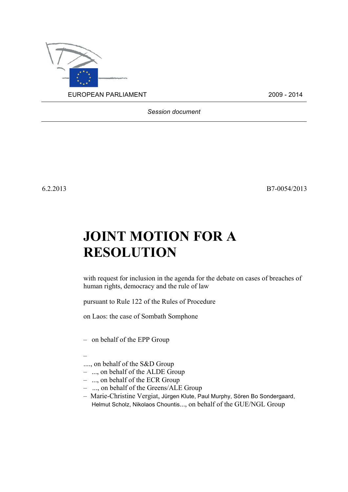

*Session document*

6.2.2013 B7-0054/2013

## **JOINT MOTION FOR A RESOLUTION**

with request for inclusion in the agenda for the debate on cases of breaches of human rights, democracy and the rule of law

pursuant to Rule 122 of the Rules of Procedure

on Laos: the case of Sombath Somphone

– on behalf of the EPP Group

- –
- ...., on behalf of the S&D Group
- ..., on behalf of the ALDE Group
- ..., on behalf of the ECR Group
- ..., on behalf of the Greens/ALE Group
- Marie-Christine Vergiat, Jürgen Klute, Paul Murphy, Sören Bo Sondergaard, Helmut Scholz, Nikolaos Chountis..., on behalf of the GUE/NGL Group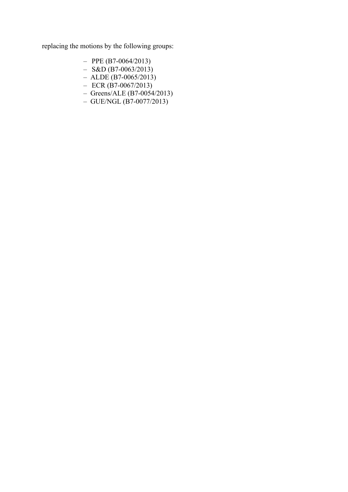replacing the motions by the following groups:

- $-$  PPE (B7-0064/2013)
- $-$  S&D (B7-0063/2013)
- $-$  ALDE (B7-0065/2013)
- $-$  ECR (B7-0067/2013)
- Greens/ALE (B7-0054/2013)
- GUE/NGL (B7-0077/2013)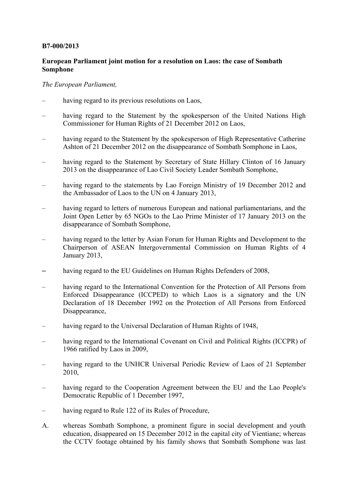## **B7-000/2013**

## **European Parliament joint motion for a resolution on Laos: the case of Sombath Somphone**

## *The European Parliament,*

- having regard to its previous resolutions on Laos,
- having regard to the Statement by the spokesperson of the United Nations High Commissioner for Human Rights of 21 December 2012 on Laos,
- having regard to the Statement by the spokesperson of High Representative Catherine Ashton of 21 December 2012 on the disappearance of Sombath Somphone in Laos,
- having regard to the Statement by Secretary of State Hillary Clinton of 16 January 2013 on the disappearance of Lao Civil Society Leader Sombath Somphone,
- having regard to the statements by Lao Foreign Ministry of 19 December 2012 and the Ambassador of Laos to the UN on 4 January 2013,
- having regard to letters of numerous European and national parliamentarians, and the Joint Open Letter by 65 NGOs to the Lao Prime Minister of 17 January 2013 on the disappearance of Sombath Somphone,
- having regard to the letter by Asian Forum for Human Rights and Development to the Chairperson of ASEAN Intergovernmental Commission on Human Rights of 4 January 2013,
- having regard to the EU Guidelines on Human Rights Defenders of 2008,
- having regard to the International Convention for the Protection of All Persons from Enforced Disappearance (ICCPED) to which Laos is a signatory and the UN Declaration of 18 December 1992 on the Protection of All Persons from Enforced Disappearance,
- having regard to the Universal Declaration of Human Rights of 1948,
- having regard to the International Covenant on Civil and Political Rights (ICCPR) of 1966 ratified by Laos in 2009,
- having regard to the UNHCR Universal Periodic Review of Laos of 21 September 2010,
- having regard to the Cooperation Agreement between the EU and the Lao People's Democratic Republic of 1 December 1997,
- having regard to Rule 122 of its Rules of Procedure,
- A. whereas Sombath Somphone, a prominent figure in social development and youth education, disappeared on 15 December 2012 in the capital city of Vientiane; whereas the CCTV footage obtained by his family shows that Sombath Somphone was last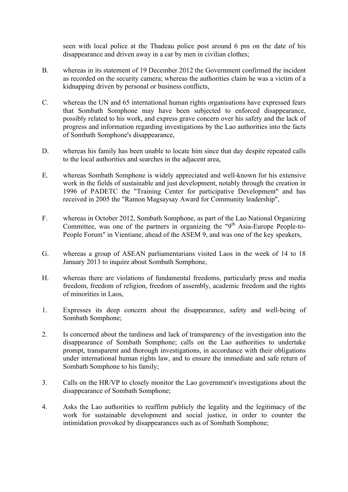seen with local police at the Thadeau police post around 6 pm on the date of his disappearance and driven away in a car by men in civilian clothes;

- B. whereas in its statement of 19 December 2012 the Government confirmed the incident as recorded on the security camera; whereas the authorities claim he was a victim of a kidnapping driven by personal or business conflicts,
- C. whereas the UN and 65 international human rights organisations have expressed fears that Sombath Somphone may have been subjected to enforced disappearance, possibly related to his work, and express grave concern over his safety and the lack of progress and information regarding investigations by the Lao authorities into the facts of Sombath Somphone's disappearance,
- D. whereas his family has been unable to locate him since that day despite repeated calls to the local authorities and searches in the adjacent area,
- E. whereas Sombath Somphone is widely appreciated and well-known for his extensive work in the fields of sustainable and just development, notably through the creation in 1996 of PADETC the "Training Center for participative Development" and has received in 2005 the "Ramon Magsaysay Award for Community leadership",
- F. whereas in October 2012, Sombath Somphone, as part of the Lao National Organizing Committee, was one of the partners in organizing the " $9<sup>th</sup>$  Asia-Europe People-to-People Forum" in Vientiane, ahead of the ASEM 9, and was one of the key speakers,
- G. whereas a group of ASEAN parliamentarians visited Laos in the week of 14 to 18 January 2013 to inquire about Sombath Somphone,
- H. whereas there are violations of fundamental freedoms, particularly press and media freedom, freedom of religion, freedom of assembly, academic freedom and the rights of minorities in Laos,
- 1. Expresses its deep concern about the disappearance, safety and well-being of Sombath Somphone;
- 2. Is concerned about the tardiness and lack of transparency of the investigation into the disappearance of Sombath Somphone; calls on the Lao authorities to undertake prompt, transparent and thorough investigations, in accordance with their obligations under international human rights law, and to ensure the immediate and safe return of Sombath Somphone to his family;
- 3. Calls on the HR/VP to closely monitor the Lao government's investigations about the disappearance of Sombath Somphone;
- 4. Asks the Lao authorities to reaffirm publicly the legality and the legitimacy of the work for sustainable development and social justice, in order to counter the intimidation provoked by disappearances such as of Sombath Somphone;